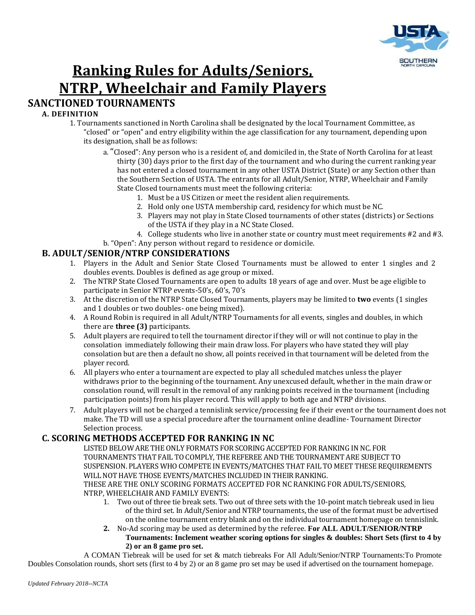

# **Ranking Rules for Adults/Seniors, NTRP, Wheelchair and Family Players SANCTIONED TOURNAMENTS**

#### **A. DEFINITION**

- 1. Tournaments sanctioned in North Carolina shall be designated by the local Tournament Committee, as "closed" or "open" and entry eligibility within the age classification for any tournament, depending upon its designation, shall be as follows:
	- a. "Closed": Any person who is a resident of, and domiciled in, the State of North Carolina for at least thirty (30) days prior to the first day of the tournament and who during the current ranking year has not entered a closed tournament in any other USTA District (State) or any Section other than the Southern Section of USTA. The entrants for all Adult/Senior, NTRP, Wheelchair and Family State Closed tournaments must meet the following criteria:
		- 1. Must be a US Citizen or meet the resident alien requirements.
		- 2. Hold only one USTA membership card, residency for which must be NC.
		- 3. Players may not play in State Closed tournaments of other states (districts) or Sections of the USTA if they play in a NC State Closed.
		- 4. College students who live in another state or country must meet requirements #2 and #3.
	- b. "Open": Any person without regard to residence or domicile.

#### **B. ADULT/SENIOR/NTRP CONSIDERATIONS**

- 1. Players in the Adult and Senior State Closed Tournaments must be allowed to enter 1 singles and 2 doubles events. Doubles is defined as age group or mixed.
- 2. The NTRP State Closed Tournaments are open to adults 18 years of age and over. Must be age eligible to participate in Senior NTRP events-50's, 60's, 70's
- 3. At the discretion of the NTRP State Closed Tournaments, players may be limited to **two** events (1 singles and 1 doubles or two doubles- one being mixed).
- 4. A Round Robin is required in all Adult/NTRP Tournaments for all events, singles and doubles, in which there are **three (3)** participants.
- 5. Adult players are required to tell the tournament director if they will or will not continue to play in the consolation immediately following their main draw loss. For players who have stated they will play consolation but are then a default no show, all points received in that tournament will be deleted from the player record.
- 6. All players who enter a tournament are expected to play all scheduled matches unless the player withdraws prior to the beginning of the tournament. Any unexcused default, whether in the main draw or consolation round, will result in the removal of any ranking points received in the tournament (including participation points) from his player record. This will apply to both age and NTRP divisions.
- 7. Adult players will not be charged a tennislink service/processing fee if their event or the tournament does not make. The TD will use a special procedure after the tournament online deadline- Tournament Director Selection process.

# **C. SCORING METHODS ACCEPTED FOR RANKING IN NC**

LISTED BELOW ARE THE ONLY FORMATS FOR SCORING ACCEPTED FOR RANKING IN NC. FOR TOURNAMENTS THAT FAIL TO COMPLY, THE REFEREE AND THE TOURNAMENT ARE SUBJECT TO SUSPENSION. PLAYERS WHO COMPETE IN EVENTS/MATCHES THAT FAIL TO MEET THESE REQUIREMENTS WILL NOT HAVE THOSE EVENTS/MATCHES INCLUDED IN THEIR RANKING. THESE ARE THE ONLY SCORING FORMATS ACCEPTED FOR NC RANKING FOR ADULTS/SENIORS, NTRP, WHEELCHAIR AND FAMILY EVENTS:

- 1. Two out of three tie break sets. Two out of three sets with the 10-point match tiebreak used in lieu of the third set. In Adult/Senior and NTRP tournaments, the use of the format must be advertised on the online tournament entry blank and on the individual tournament homepage on tennislink.
- **2.** No-Ad scoring may be used as determined by the referee. **For ALL ADULT/SENIOR/NTRP Tournaments: Inclement weather scoring options for singles & doubles: Short Sets (first to 4 by 2) or an 8 game pro set.**

A COMAN Tiebreak will be used for set & match tiebreaks For All Adult/Senior/NTRP Tournaments:To Promote Doubles Consolation rounds, short sets (first to 4 by 2) or an 8 game pro set may be used if advertised on the tournament homepage.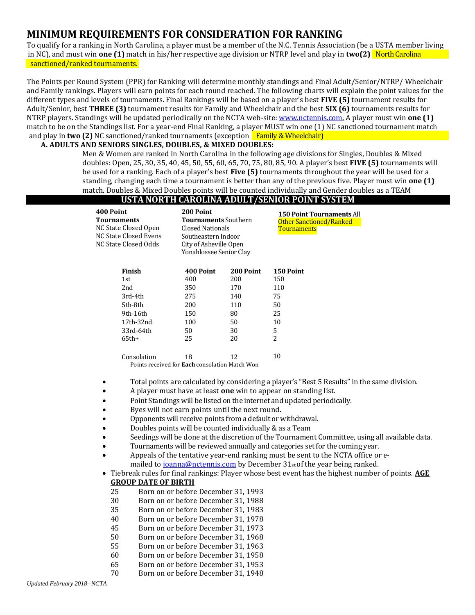# **MINIMUM REQUIREMENTS FOR CONSIDERATION FOR RANKING**

To qualify for a ranking in North Carolina, a player must be a member of the N.C. Tennis Association (be a USTA member living in NC), and must win **one (1)** match in his/her respective age division or NTRP level and play in **two(2)** North Carolina sanctioned/ranked tournaments.

The Points per Round System (PPR) for Ranking will determine monthly standings and Final Adult/Senior/NTRP/ Wheelchair and Family rankings. Players will earn points for each round reached. The following charts will explain the point values for the different types and levels of tournaments. Final Rankings will be based on a player's best **FIVE (5)** tournament results for Adult/Senior, best **THREE (3)** tournament results for Family and Wheelchair and the best **SIX (6)** tournaments results for NTRP players. Standings will be updated periodically on the NCTA web-site: [www.nctennis.com.](http://www.nctennis.com/) A player must win **one (1)**  match to be on the Standings list. For a year-end Final Ranking, a player MUST win one (1) NC sanctioned tournament match and play in **two (2)** NC sanctioned/ranked tournaments (exception Family & Wheelchair)

#### **A. ADULTS AND SENIORS SINGLES, DOUBLES, & MIXED DOUBLES:**

Men & Women are ranked in North Carolina in the following age divisions for Singles, Doubles & Mixed doubles: Open, 25, 30, 35, 40, 45, 50, 55, 60, 65, 70, 75, 80, 85, 90. A player's best **FIVE (5)** tournaments will be used for a ranking. Each of a player's best **Five (5)** tournaments throughout the year will be used for a standing, changing each time a tournament is better than any of the previous five. Player must win **one (1)**  match. Doubles & Mixed Doubles points will be counted individually and Gender doubles as a TEAM

# **USTA NORTH CAROLINA ADULT/SENIOR POINT SYSTEM**

| 400 Point<br><b>Tournaments</b><br>NC State Closed Open<br>NC State Closed Evens<br>NC State Closed Odds | 200 Point<br><b>Tournaments</b> Southern<br><b>Closed Nationals</b><br>Southeastern Indoor<br>City of Asheville Open<br>Yonahlossee Senior Clay |           | <b>150 Point Tournaments All</b><br>Other Sanctioned/Ranked<br>Tournaments |  |
|----------------------------------------------------------------------------------------------------------|-------------------------------------------------------------------------------------------------------------------------------------------------|-----------|----------------------------------------------------------------------------|--|
| Finish                                                                                                   | 400 Point                                                                                                                                       | 200 Point | <b>150 Point</b>                                                           |  |
| 1st                                                                                                      | 400                                                                                                                                             | 200       | 150                                                                        |  |
| 2nd                                                                                                      | 350                                                                                                                                             | 170       | 110                                                                        |  |
| 3rd-4th                                                                                                  | 275                                                                                                                                             | 140       | 75                                                                         |  |
| 5th-8th                                                                                                  | 200                                                                                                                                             | 110       | 50                                                                         |  |
| 9th-16th                                                                                                 | 150                                                                                                                                             | 80        | 25                                                                         |  |
| 17th-32nd                                                                                                | 100                                                                                                                                             | 50        | 10                                                                         |  |
| 33rd-64th                                                                                                | 50                                                                                                                                              | 30        | 5                                                                          |  |
| $65th+$                                                                                                  | 25                                                                                                                                              | 20        | 2                                                                          |  |
| Consolation                                                                                              | 18                                                                                                                                              | 12        | 10                                                                         |  |

Points received for **Each** consolation Match Won

- Total points are calculated by considering a player's "Best 5 Results" in the same division.
- A player must have at least **one** win to appear on standing list.
- Point Standings will be listed on the internet and updated periodically.
- Byes will not earn points until the next round.
- Opponents will receive points from a default or withdrawal.
- Doubles points will be counted individually & as a Team
- Seedings will be done at the discretion of the Tournament Committee, using all available data.
- Tournaments will be reviewed annually and categories set for the coming year.
- Appeals of the tentative year-end ranking must be sent to the NCTA office or emailed to *joanna@nctennis.com* by December 31<sub>st</sub> of the year being ranked.
- Tiebreak rules for final rankings: Player whose best event has the highest number of points. **AGE GROUP DATE OF BIRTH** 
	- 25 Born on or before December 31, 1993
	- 30 Born on or before December 31, 1988
	- 35 Born on or before December 31, 1983
	- 40 Born on or before December 31, 1978
	- 45 Born on or before December 31, 1973
	- 50 Born on or before December 31, 1968
	- 55 Born on or before December 31, 1963
	- 60 Born on or before December 31, 1958
	- 65 Born on or before December 31, 1953
	- 70 Born on or before December 31, 1948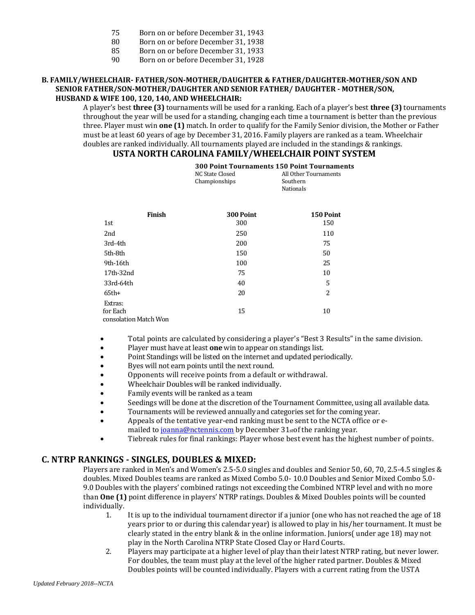- 75 Born on or before December 31, 1943
- 80 Born on or before December 31, 1938
- 85 Born on or before December 31, 1933
- 90 Born on or before December 31, 1928

#### **B. FAMILY/WHEELCHAIR- FATHER/SON-MOTHER/DAUGHTER & FATHER/DAUGHTER-MOTHER/SON AND SENIOR FATHER/SON-MOTHER/DAUGHTER AND SENIOR FATHER/ DAUGHTER - MOTHER/SON, HUSBAND & WIFE 100, 120, 140, AND WHEELCHAIR:**

A player's best **three (3)** tournaments will be used for a ranking. Each of a player's best **three (3)** tournaments throughout the year will be used for a standing, changing each time a tournament is better than the previous three. Player must win **one (1)** match. In order to qualify for the Family Senior division, the Mother or Father must be at least 60 years of age by December 31, 2016. Family players are ranked as a team. Wheelchair doubles are ranked individually. All tournaments played are included in the standings & rankings.

# **USTA NORTH CAROLINA FAMILY/WHEELCHAIR POINT SYSTEM**

|                                              | <b>300 Point Tournaments 150 Point Tournaments</b><br>NC State Closed<br>Championships | All Other Tournaments<br>Southern<br>Nationals |  |
|----------------------------------------------|----------------------------------------------------------------------------------------|------------------------------------------------|--|
| Finish                                       | 300 Point                                                                              | 150 Point                                      |  |
| 1st                                          | 300                                                                                    | 150                                            |  |
| 2nd                                          | 250                                                                                    | 110                                            |  |
| 3rd-4th                                      | 200                                                                                    | 75                                             |  |
| 5th-8th                                      | 150                                                                                    | 50                                             |  |
| 9th-16th                                     | 100                                                                                    | 25                                             |  |
| 17th-32nd                                    | 75                                                                                     | 10                                             |  |
| 33rd-64th                                    | 40                                                                                     | 5                                              |  |
| $65th+$                                      | 20                                                                                     | 2                                              |  |
| Extras:<br>for Each<br>consolation Match Won | 15                                                                                     | 10                                             |  |

- Total points are calculated by considering a player's "Best 3 Results" in the same division.
- Player must have at least **one** win to appear on standings list.
- Point Standings will be listed on the internet and updated periodically.
- Byes will not earn points until the next round.
- Opponents will receive points from a default or withdrawal.
- Wheelchair Doubles will be ranked individually.
- Family events will be ranked as a team
- Seedings will be done at the discretion of the Tournament Committee, using all available data.
- Tournaments will be reviewed annually and categories set for the coming year.
- Appeals of the tentative year-end ranking must be sent to the NCTA office or emailed to *joanna@nctennis.com* by December 31<sub>st</sub> of the ranking year.
- Tiebreak rules for final rankings: Player whose best event has the highest number of points.

# **C. NTRP RANKINGS - SINGLES, DOUBLES & MIXED:**

Players are ranked in Men's and Women's 2.5-5.0 singles and doubles and Senior 50, 60, 70, 2.5-4.5 singles & doubles. Mixed Doubles teams are ranked as Mixed Combo 5.0- 10.0 Doubles and Senior Mixed Combo 5.0- 9.0 Doubles with the players' combined ratings not exceeding the Combined NTRP level and with no more than **One (1)** point difference in players' NTRP ratings. Doubles & Mixed Doubles points will be counted individually.

- 1. It is up to the individual tournament director if a junior (one who has not reached the age of 18 years prior to or during this calendar year) is allowed to play in his/her tournament. It must be clearly stated in the entry blank  $&$  in the online information. Juniors (under age 18) may not play in the North Carolina NTRP State Closed Clay or Hard Courts.
- 2. Players may participate at a higher level of play than their latest NTRP rating, but never lower. For doubles, the team must play at the level of the higher rated partner. Doubles & Mixed Doubles points will be counted individually. Players with a current rating from the USTA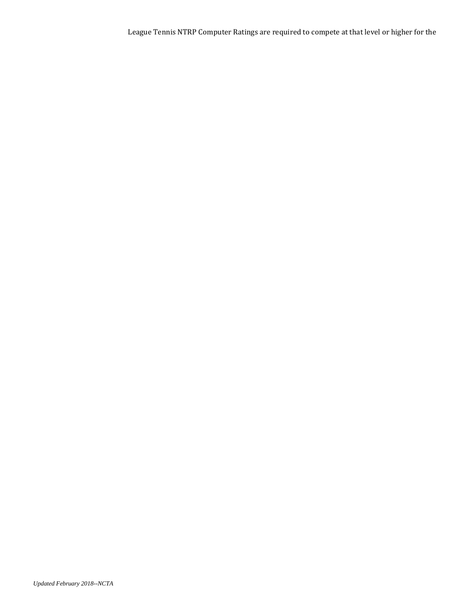League Tennis NTRP Computer Ratings are required to compete at that level or higher for the